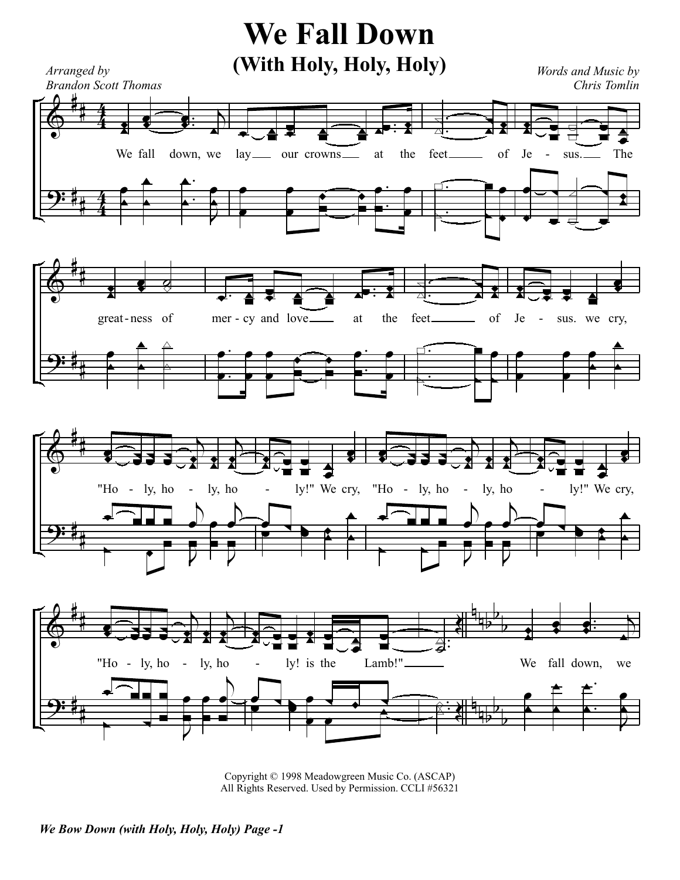## **We Fall Down**



Copyright © 1998 Meadowgreen Music Co. (ASCAP) All Rights Reserved. Used by Permission. CCLI #56321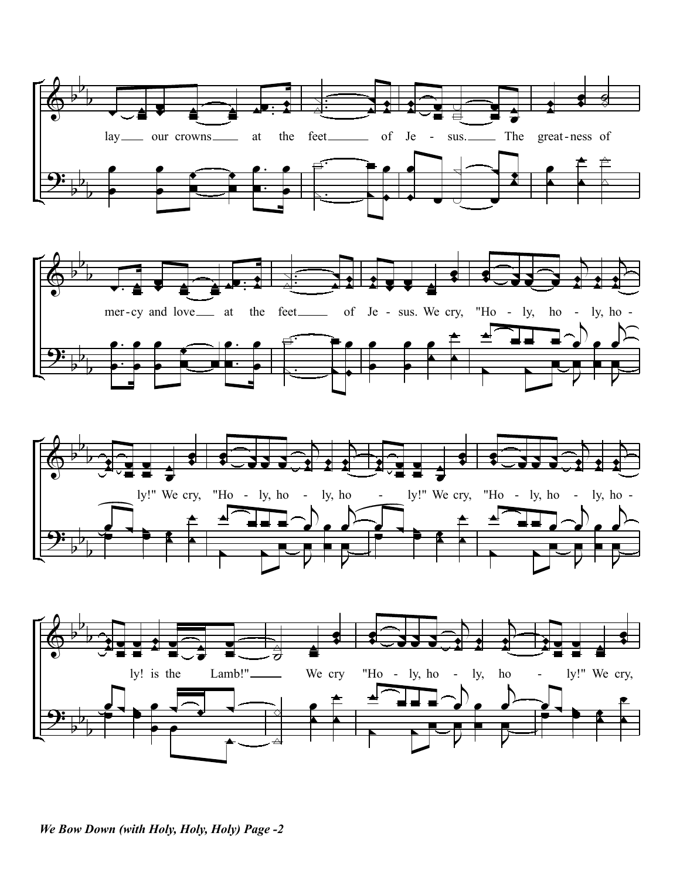







We Bow Down (with Holy, Holy, Holy) Page -2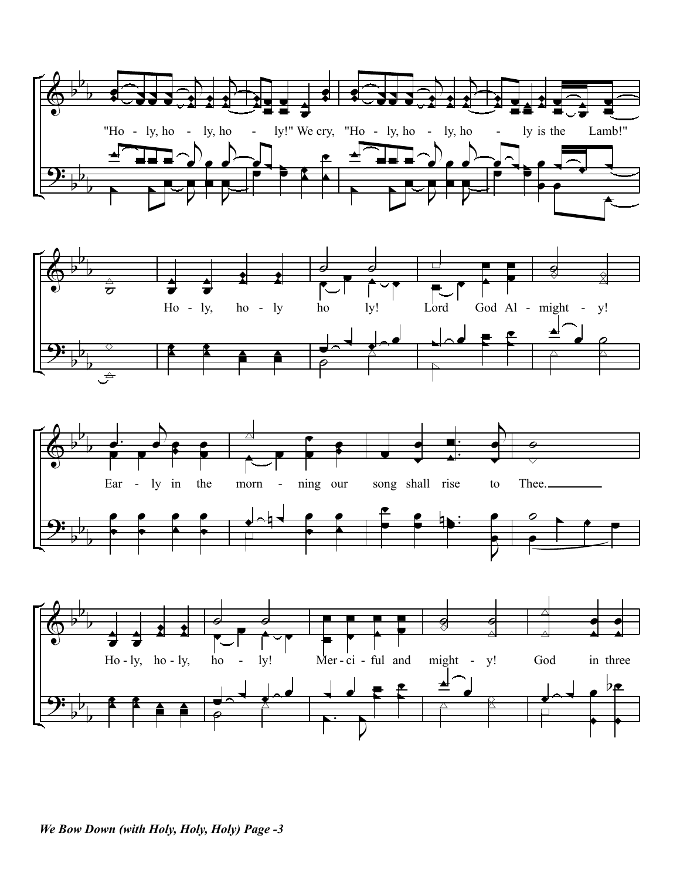







We Bow Down (with Holy, Holy, Holy) Page -3